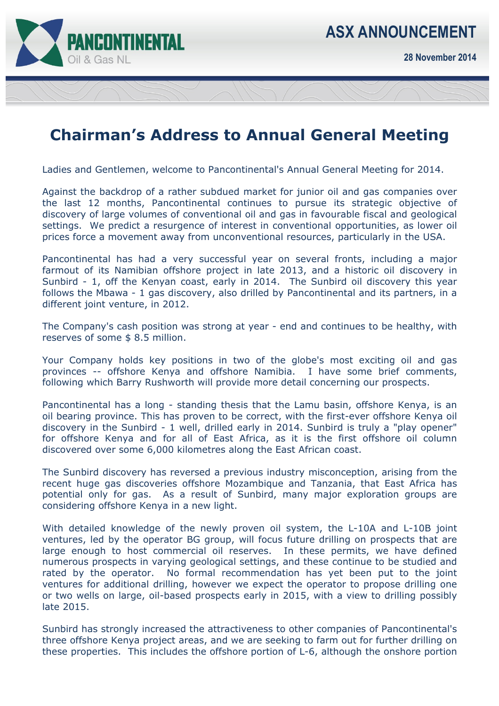

**28 November 2014** 

## **Chairman's Address to Annual General Meeting**

Ladies and Gentlemen, welcome to Pancontinental's Annual General Meeting for 2014.

Against the backdrop of a rather subdued market for junior oil and gas companies over the last 12 months, Pancontinental continues to pursue its strategic objective of discovery of large volumes of conventional oil and gas in favourable fiscal and geological settings. We predict a resurgence of interest in conventional opportunities, as lower oil prices force a movement away from unconventional resources, particularly in the USA.

Pancontinental has had a very successful year on several fronts, including a major farmout of its Namibian offshore project in late 2013, and a historic oil discovery in Sunbird - 1, off the Kenyan coast, early in 2014. The Sunbird oil discovery this year follows the Mbawa - 1 gas discovery, also drilled by Pancontinental and its partners, in a different joint venture, in 2012.

The Company's cash position was strong at year - end and continues to be healthy, with reserves of some \$ 8.5 million.

Your Company holds key positions in two of the globe's most exciting oil and gas provinces -- offshore Kenya and offshore Namibia. I have some brief comments, following which Barry Rushworth will provide more detail concerning our prospects.

Pancontinental has a long - standing thesis that the Lamu basin, offshore Kenya, is an oil bearing province. This has proven to be correct, with the first-ever offshore Kenya oil discovery in the Sunbird - 1 well, drilled early in 2014. Sunbird is truly a "play opener" for offshore Kenya and for all of East Africa, as it is the first offshore oil column discovered over some 6,000 kilometres along the East African coast.

The Sunbird discovery has reversed a previous industry misconception, arising from the recent huge gas discoveries offshore Mozambique and Tanzania, that East Africa has potential only for gas. As a result of Sunbird, many major exploration groups are considering offshore Kenya in a new light.

With detailed knowledge of the newly proven oil system, the L-10A and L-10B joint ventures, led by the operator BG group, will focus future drilling on prospects that are large enough to host commercial oil reserves. In these permits, we have defined numerous prospects in varying geological settings, and these continue to be studied and rated by the operator. No formal recommendation has yet been put to the joint ventures for additional drilling, however we expect the operator to propose drilling one or two wells on large, oil-based prospects early in 2015, with a view to drilling possibly late 2015.

Sunbird has strongly increased the attractiveness to other companies of Pancontinental's three offshore Kenya project areas, and we are seeking to farm out for further drilling on these properties. This includes the offshore portion of L-6, although the onshore portion